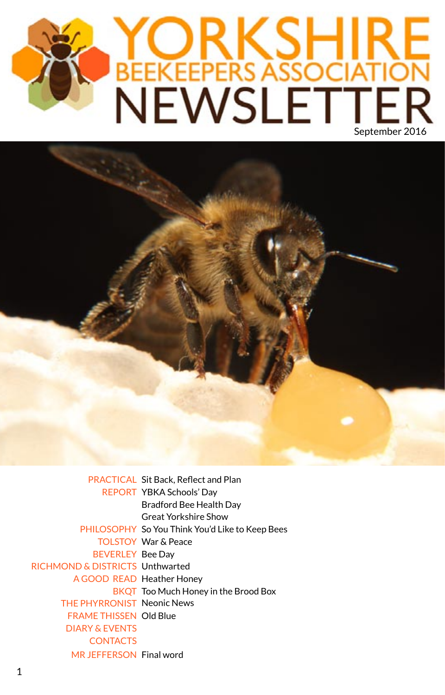# YORKSHIRE<br>BEEKEEPERS ASSOCIATION<br>NEWSLETTER



PRACTICAL Sit Back, Reflect and Plan REPORT YBKA Schools' Day Bradford Bee Health Day Great Yorkshire Show PHILOSOPHY So You Think You'd Like to Keep Bees TOLSTOY War & Peace **BEVERLEY Bee Day** RICHMOND & DISTRICTS Unthwarted A GOOD READ Heather Honey BKQT Too Much Honey in the Brood Box THE PHYRRONIST Neonic News FRAME THISSEN Old Blue MR JEFFERSON Final word DIARY & EVENTS **CONTACTS**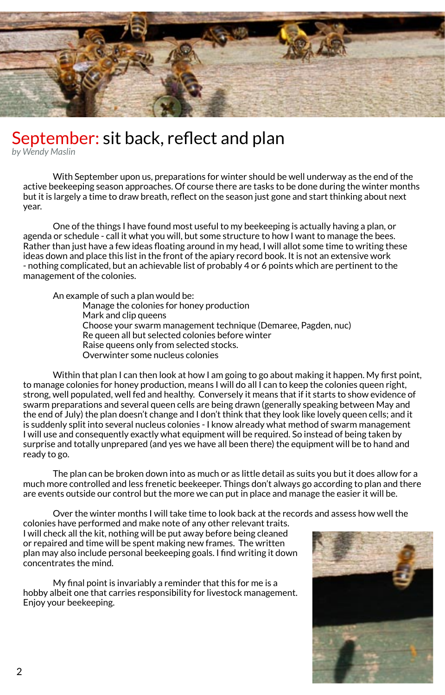

### September: sit back, reflect and plan

*by Wendy Maslin*

With September upon us, preparations for winter should be well underway as the end of the active beekeeping season approaches. Of course there are tasks to be done during the winter months but it is largely a time to draw breath, reflect on the season just gone and start thinking about next year.

One of the things I have found most useful to my beekeeping is actually having a plan, or agenda or schedule - call it what you will, but some structure to how I want to manage the bees. Rather than just have a few ideas floating around in my head, I will allot some time to writing these ideas down and place this list in the front of the apiary record book. It is not an extensive work - nothing complicated, but an achievable list of probably 4 or 6 points which are pertinent to the management of the colonies.

An example of such a plan would be:

Manage the colonies for honey production Mark and clip queens Choose your swarm management technique (Demaree, Pagden, nuc) Re queen all but selected colonies before winter Raise queens only from selected stocks. Overwinter some nucleus colonies

Within that plan I can then look at how I am going to go about making it happen. My first point, to manage colonies for honey production, means I will do all I can to keep the colonies queen right, strong, well populated, well fed and healthy. Conversely it means that if it starts to show evidence of swarm preparations and several queen cells are being drawn (generally speaking between May and the end of July) the plan doesn't change and I don't think that they look like lovely queen cells; and it is suddenly split into several nucleus colonies - I know already what method of swarm management I will use and consequently exactly what equipment will be required. So instead of being taken by surprise and totally unprepared (and yes we have all been there) the equipment will be to hand and ready to go.

The plan can be broken down into as much or as little detail as suits you but it does allow for a much more controlled and less frenetic beekeeper. Things don't always go according to plan and there are events outside our control but the more we can put in place and manage the easier it will be.

Over the winter months I will take time to look back at the records and assess how well the

colonies have performed and make note of any other relevant traits. I will check all the kit, nothing will be put away before being cleaned or repaired and time will be spent making new frames. The written plan may also include personal beekeeping goals. I find writing it down concentrates the mind.

My final point is invariably a reminder that this for me is a hobby albeit one that carries responsibility for livestock management. Enjoy your beekeeping.

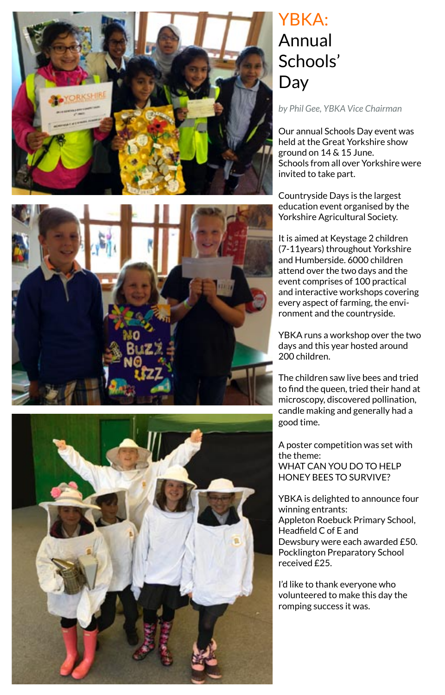

### YBKA: Annual Schools' Day

*by Phil Gee, YBKA Vice Chairman*

Our annual Schools Day event was held at the Great Yorkshire show ground on 14 & 15 June. Schools from all over Yorkshire were invited to take part.

Countryside Days is the largest education event organised by the Yorkshire Agricultural Society.

It is aimed at Keystage 2 children (7-11years) throughout Yorkshire and Humberside. 6000 children attend over the two days and the event comprises of 100 practical and interactive workshops covering every aspect of farming, the envi ronment and the countryside.

YBKA runs a workshop over the two days and this year hosted around 200 children.

The children saw live bees and tried to find the queen, tried their hand at microscopy, discovered pollination, candle making and generally had a good time.

A poster competition was set with the theme: WHAT CAN YOU DO TO HELP HONEY BEES TO SURVIVE?

YBKA is delighted to announce four winning entrants: Appleton Roebuck Primary School, Headfield C of E and Dewsbury were each awarded £50. Pocklington Preparatory School received £25.

I'd like to thank everyone who volunteered to make this day the romping success it was.



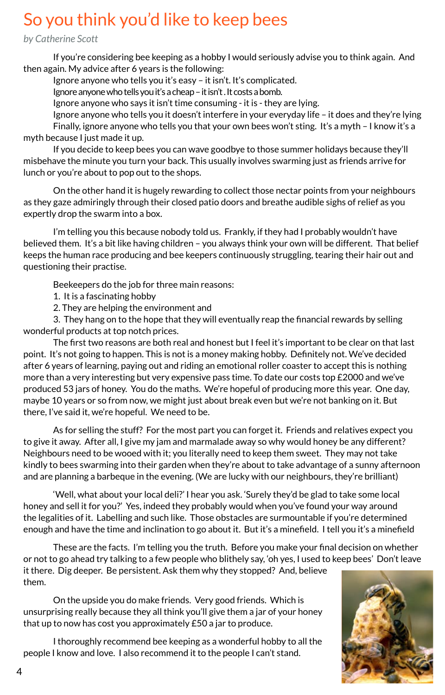### So you think you'd like to keep bees

*by Catherine Scott*

If you're considering bee keeping as a hobby I would seriously advise you to think again. And then again. My advice after 6 years is the following:

Ignore anyone who tells you it's easy – it isn't. It's complicated.

Ignore anyone who tells you it's a cheap – it isn't . It costs a bomb.

Ignore anyone who says it isn't time consuming - it is - they are lying.

Ignore anyone who tells you it doesn't interfere in your everyday life – it does and they're lying Finally, ignore anyone who tells you that your own bees won't sting. It's a myth - I know it's a myth because I just made it up.

If you decide to keep bees you can wave goodbye to those summer holidays because they'll misbehave the minute you turn your back. This usually involves swarming just as friends arrive for lunch or you're about to pop out to the shops.

On the other hand it is hugely rewarding to collect those nectar points from your neighbours as they gaze admiringly through their closed patio doors and breathe audible sighs of relief as you expertly drop the swarm into a box.

I'm telling you this because nobody told us. Frankly, if they had I probably wouldn't have believed them. It's a bit like having children – you always think your own will be different. That belief keeps the human race producing and bee keepers continuously struggling, tearing their hair out and questioning their practise.

Beekeepers do the job for three main reasons:

1. It is a fascinating hobby

2. They are helping the environment and

3. They hang on to the hope that they will eventually reap the financial rewards by selling wonderful products at top notch prices.

The first two reasons are both real and honest but I feel it's important to be clear on that last point. It's not going to happen. This is not is a money making hobby. Definitely not. We've decided after 6 years of learning, paying out and riding an emotional roller coaster to accept this is nothing more than a very interesting but very expensive pass time. To date our costs top £2000 and we've produced 53 jars of honey. You do the maths. We're hopeful of producing more this year. One day, maybe 10 years or so from now, we might just about break even but we're not banking on it. But there, I've said it, we're hopeful. We need to be.

As for selling the stuff? For the most part you can forget it. Friends and relatives expect you to give it away. After all, I give my jam and marmalade away so why would honey be any different? Neighbours need to be wooed with it; you literally need to keep them sweet. They may not take kindly to bees swarming into their garden when they're about to take advantage of a sunny afternoon and are planning a barbeque in the evening. (We are lucky with our neighbours, they're brilliant)

'Well, what about your local deli?' I hear you ask. 'Surely they'd be glad to take some local honey and sell it for you?' Yes, indeed they probably would when you've found your way around the legalities of it. Labelling and such like. Those obstacles are surmountable if you're determined enough and have the time and inclination to go about it. But it's a minefield. I tell you it's a minefield

These are the facts. I'm telling you the truth. Before you make your final decision on whether or not to go ahead try talking to a few people who blithely say, 'oh yes, I used to keep bees' Don't leave it there. Dig deeper. Be persistent. Ask them why they stopped? And, believe them.

On the upside you do make friends. Very good friends. Which is unsurprising really because they all think you'll give them a jar of your honey that up to now has cost you approximately £50 a jar to produce.

I thoroughly recommend bee keeping as a wonderful hobby to all the people I know and love. I also recommend it to the people I can't stand.

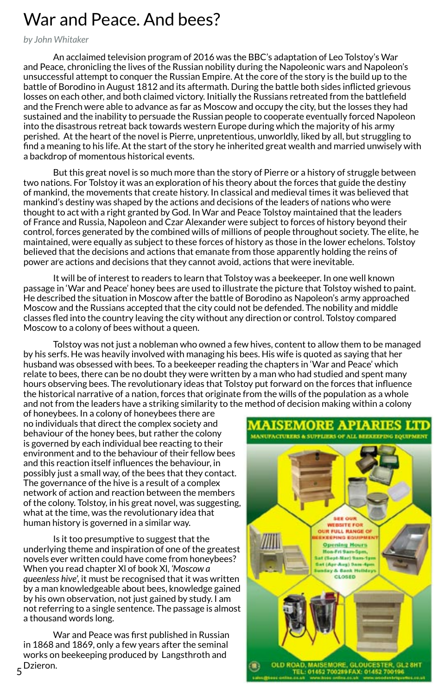## War and Peace. And bees?

*by John Whitaker*

An acclaimed television program of 2016 was the BBC's adaptation of Leo Tolstoy's War and Peace, chronicling the lives of the Russian nobility during the Napoleonic wars and Napoleon's unsuccessful attempt to conquer the Russian Empire. At the core of the story is the build up to the battle of Borodino in August 1812 and its aftermath. During the battle both sides inflicted grievous losses on each other, and both claimed victory. Initially the Russians retreated from the battlefield and the French were able to advance as far as Moscow and occupy the city, but the losses they had sustained and the inability to persuade the Russian people to cooperate eventually forced Napoleon into the disastrous retreat back towards western Europe during which the majority of his army perished. At the heart of the novel is Pierre, unpretentious, unworldly, liked by all, but struggling to find a meaning to his life. At the start of the story he inherited great wealth and married unwisely with a backdrop of momentous historical events.

But this great novel is so much more than the story of Pierre or a history of struggle between two nations. For Tolstoy it was an exploration of his theory about the forces that guide the destiny of mankind, the movements that create history. In classical and medieval times it was believed that mankind's destiny was shaped by the actions and decisions of the leaders of nations who were thought to act with a right granted by God. In War and Peace Tolstoy maintained that the leaders of France and Russia, Napoleon and Czar Alexander were subject to forces of history beyond their control, forces generated by the combined wills of millions of people throughout society. The elite, he maintained, were equally as subject to these forces of history as those in the lower echelons. Tolstoy believed that the decisions and actions that emanate from those apparently holding the reins of power are actions and decisions that they cannot avoid, actions that were inevitable.

It will be of interest to readers to learn that Tolstoy was a beekeeper. In one well known passage in 'War and Peace' honey bees are used to illustrate the picture that Tolstoy wished to paint. He described the situation in Moscow after the battle of Borodino as Napoleon's army approached Moscow and the Russians accepted that the city could not be defended. The nobility and middle classes fled into the country leaving the city without any direction or control. Tolstoy compared Moscow to a colony of bees without a queen.

Tolstoy was not just a nobleman who owned a few hives, content to allow them to be managed by his serfs. He was heavily involved with managing his bees. His wife is quoted as saying that her husband was obsessed with bees. To a beekeeper reading the chapters in 'War and Peace' which relate to bees, there can be no doubt they were written by a man who had studied and spent many hours observing bees. The revolutionary ideas that Tolstoy put forward on the forces that influence the historical narrative of a nation, forces that originate from the wills of the population as a whole and not from the leaders have a striking similarity to the method of decision making within a colony

of honeybees. In a colony of honeybees there are no individuals that direct the complex society and behaviour of the honey bees, but rather the colony is governed by each individual bee reacting to their environment and to the behaviour of their fellow bees and this reaction itself influences the behaviour, in possibly just a small way, of the bees that they contact. The governance of the hive is a result of a complex network of action and reaction between the members of the colony. Tolstoy, in his great novel, was suggesting, what at the time, was the revolutionary idea that human history is governed in a similar way.

Is it too presumptive to suggest that the underlying theme and inspiration of one of the greatest novels ever written could have come from honeybees? When you read chapter Xl of book Xl, *'Moscow a queenless hive*', it must be recognised that it was written by a man knowledgeable about bees, knowledge gained by his own observation, not just gained by study. I am not referring to a single sentence. The passage is almost a thousand words long.

5 Dzieron.War and Peace was first published in Russian in 1868 and 1869, only a few years after the seminal works on beekeeping produced by Langsthroth and



**MAISEMORE APIARIES LTD**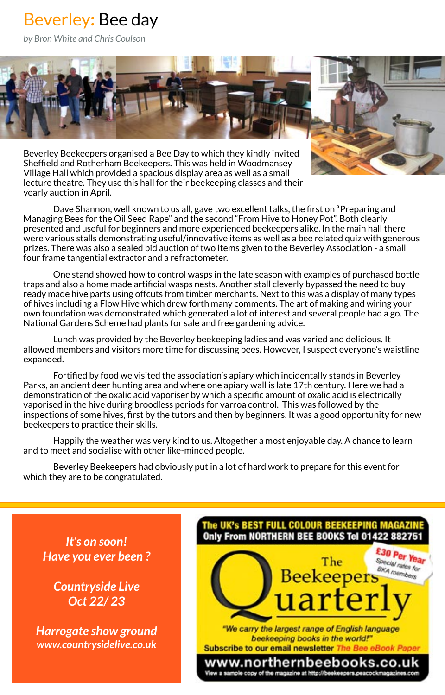### Beverley**:** Bee day

*by Bron White and Chris Coulson*



Beverley Beekeepers organised a Bee Day to which they kindly invited Sheffield and Rotherham Beekeepers. This was held in Woodmansey Village Hall which provided a spacious display area as well as a small lecture theatre. They use this hall for their beekeeping classes and their yearly auction in April.

Dave Shannon, well known to us all, gave two excellent talks, the first on "Preparing and Managing Bees for the Oil Seed Rape" and the second "From Hive to Honey Pot". Both clearly presented and useful for beginners and more experienced beekeepers alike. In the main hall there were various stalls demonstrating useful/innovative items as well as a bee related quiz with generous prizes. There was also a sealed bid auction of two items given to the Beverley Association - a small four frame tangential extractor and a refractometer.

One stand showed how to control wasps in the late season with examples of purchased bottle traps and also a home made artificial wasps nests. Another stall cleverly bypassed the need to buy ready made hive parts using offcuts from timber merchants. Next to this was a display of many types of hives including a Flow Hive which drew forth many comments. The art of making and wiring your own foundation was demonstrated which generated a lot of interest and several people had a go. The National Gardens Scheme had plants for sale and free gardening advice.

Lunch was provided by the Beverley beekeeping ladies and was varied and delicious. It allowed members and visitors more time for discussing bees. However, I suspect everyone's waistline expanded.

Fortified by food we visited the association's apiary which incidentally stands in Beverley Parks, an ancient deer hunting area and where one apiary wall is late 17th century. Here we had a demonstration of the oxalic acid vaporiser by which a specific amount of oxalic acid is electrically vaporised in the hive during broodless periods for varroa control. This was followed by the inspections of some hives, first by the tutors and then by beginners. It was a good opportunity for new beekeepers to practice their skills.

Happily the weather was very kind to us. Altogether a most enjoyable day. A chance to learn and to meet and socialise with other like-minded people.

Beverley Beekeepers had obviously put in a lot of hard work to prepare for this event for which they are to be congratulated.

*It's on soon! Have you ever been ?*

*Countryside Live Oct 22/ 23*

*Harrogate show ground www.countrysidelive.co.uk*

### The UK's BEST FULL COLOUR BEEKEEPING MAGAZIN Only From NORTHERN BEE BOOKS Tel 01422 88275 £30 Per Year Special rates for The BKA members **Beekeepers** uartei "We carry the largest range of English language beekeeping books in the world!" Subscribe to our email newsletter The Be www.northernbeebooks.co.uk View a sample copy of the magazine at http://beekeepers.peacockmagazines.com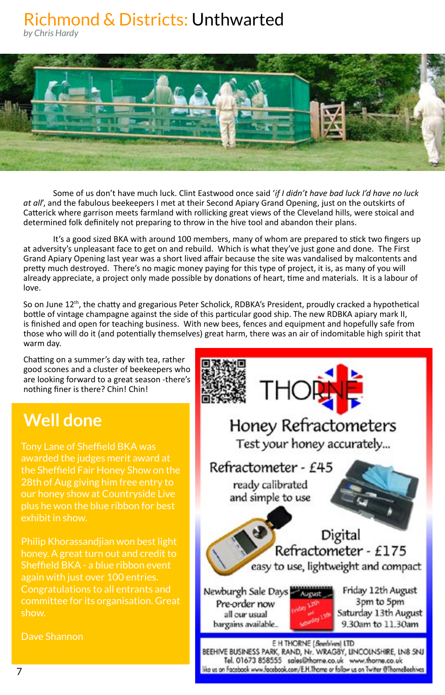### Richmond & Districts: Unthwarted

*by Chris Hardy*



Some of us don't have much luck. Clint Eastwood once said '*if I didn't have bad luck I'd have no luck at all*', and the fabulous beekeepers I met at their Second Apiary Grand Opening, just on the outskirts of Catterick where garrison meets farmland with rollicking great views of the Cleveland hills, were stoical and determined folk definitely not preparing to throw in the hive tool and abandon their plans.

It's a good sized BKA with around 100 members, many of whom are prepared to stick two fingers up at adversity's unpleasant face to get on and rebuild. Which is what they've just gone and done. The First Grand Apiary Opening last year was a short lived affair because the site was vandalised by malcontents and pretty much destroyed. There's no magic money paying for this type of project, it is, as many of you will already appreciate, a project only made possible by donations of heart, time and materials. It is a labour of love.

So on June 12<sup>th</sup>, the chatty and gregarious Peter Scholick, RDBKA's President, proudly cracked a hypothetical bottle of vintage champagne against the side of this particular good ship. The new RDBKA apiary mark II, is finished and open for teaching business. With new bees, fences and equipment and hopefully safe from those who will do it (and potentially themselves) great harm, there was an air of indomitable high spirit that warm day.

Chatting on a summer's day with tea, rather good scones and a cluster of beekeepers who are looking forward to a great season -there's nothing finer is there? Chin! Chin!

### **Well done**

Tony Lane of Sheffield BKA was awarded the judges merit award at the Sheffield Fair Honey Show on the 28th of Aug giving him free entry to our honey show at Countryside Live plus he won the blue ribbon for best exhibit in show.

Philip Khorassandjian won best light honey. A great turn out and credit to Sheffield BKA - a blue ribbon event again with just over 100 entries. Congratulations to all entrants and committee for its organisation. Great show.

Dave Shannon

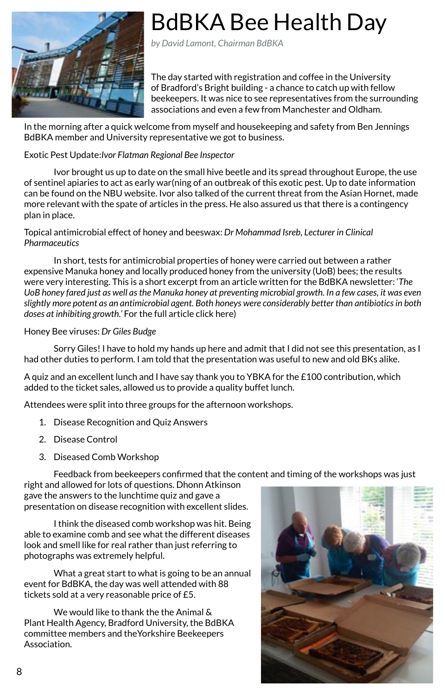

# BdBKA Bee Health Day

*by David Lamont, Chairman BdBKA*

The day started with registration and coffee in the University of Bradford's Bright building - a chance to catch up with fellow beekeepers. It was nice to see representatives from the surrounding associations and even a few from Manchester and Oldham.

In the morning after a quick welcome from myself and housekeeping and safety from Ben Jennings BdBKA member and University representative we got to business.

### Exotic Pest Update:*Ivor Flatman Regional Bee Inspector*

Ivor brought us up to date on the small hive beetle and its spread throughout Europe, the use of [sentinel apiaries](http://www.nationalbeeunit.com/downloadDocument.cfm?id=732) to act as early war(ning of an outbreak of this exotic pest. Up to date information can be found on the [NBU website.](http://www.nationalbeeunit.com/index.cfm?pageid=125) Ivor also talked of the current threat from the Asian Hornet, made more relevant with the spate of articles in the press. He also assured us that there is a [contingency](http://www.nationalbeeunit.com/downloadDocument.cfm?id=675) plan in place.

Topical antimicrobial effect of honey and beeswax: *Dr Mohammad Isreb, Lecturer in Clinical Pharmaceutics*

In short, tests for antimicrobial properties of honey were carried out between a rather expensive Manuka honey and locally produced honey from the university (UoB) bees; the results were very interesting. This is a short excerpt from an article written for the BdBKA newsletter: '*The UoB honey fared just as well as the Manuka honey at preventing microbial growth. In a few cases, it was even slightly more potent as an antimicrobial agent. Both honeys were considerably better than antibiotics in both doses at inhibiting growth.'* [For the full article click here\)](http://bradfordbeekeepers.co.uk/honey-sweet-nectar-potent-healing-medicine/)

Honey Bee viruses: *Dr Giles Budge*

Sorry Giles! I have to hold my hands up here and admit that I did not see this presentation, as I had other duties to perform. I am told that the presentation was useful to new and old BKs alike.

A quiz and an excellent lunch and I have say thank you to YBKA for the £100 contribution, which added to the ticket sales, allowed us to provide a quality buffet lunch.

Attendees were split into three groups for the afternoon workshops.

- 1. Disease Recognition and Quiz Answers
- 2. Disease Control
- 3. Diseased Comb Workshop

Feedback from beekeepers confirmed that the content and timing of the workshops was just

right and allowed for lots of questions. Dhonn Atkinson gave the answers to the lunchtime quiz and gave a presentation on disease recognition with excellent slides.

I think the diseased comb workshop was hit. Being able to examine comb and see what the different diseases look and smell like for real rather than just referring to photographs was extremely helpful.

What a great start to what is going to be an annual event for BdBKA, the day was well attended with 88 tickets sold at a very reasonable price of £5.

We would like to thank the the Animal & Plant Health Agency, Bradford University, the BdBKA committee members and theYorkshire Beekeepers Association.

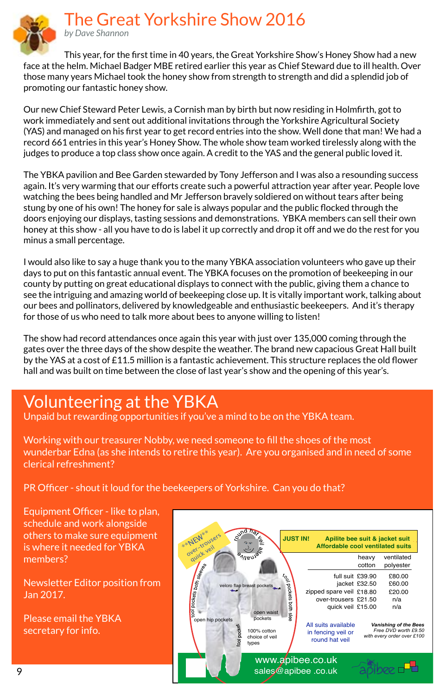The Great Yorkshire Show 2016



by Dave Shannon

This year, for the first time in 40 years, the Great Yorkshire Show's Honey Show had a new face at the helm. Michael Badger MBE retired earlier this year as Chief Steward due to ill health. Over those many years Michael took the honey show from strength to strength and did a splendid job of promoting our fantastic honey show.

Our new Chief Steward Peter Lewis, a Cornish man by birth but now residing in Holmfirth, got to work immediately and sent out additional invitations through the Yorkshire Agricultural Society (YAS) and managed on his first year to get record entries into the show. Well done that man! We had a record 661 entries in this year's Honey Show. The whole show team worked tirelessly along with the judges to produce a top class show once again. A credit to the YAS and the general public loved it.

The YBKA pavilion and Bee Garden stewarded by Tony Jefferson and I was also a resounding success again. It's very warming that our efforts create such a powerful attraction year after year. People love watching the bees being handled and Mr Jefferson bravely soldiered on without tears after being stung by one of his own! The honey for sale is always popular and the public flocked through the doors enjoying our displays, tasting sessions and demonstrations. YBKA members can sell their own honey at this show - all you have to do is label it up correctly and drop it off and we do the rest for you minus a small percentage.

I would also like to say a huge thank you to the many YBKA association volunteers who gave up their days to put on this fantastic annual event. The YBKA focuses on the promotion of beekeeping in our county by putting on great educational displays to connect with the public, giving them a chance to see the intriguing and amazing world of beekeeping close up. It is vitally important work, talking about our bees and pollinators, delivered by knowledgeable and enthusiastic beekeepers. And it's therapy for those of us who need to talk more about bees to anyone willing to listen!

The show had record attendances once again this year with just over 135,000 coming through the gates over the three days of the show despite the weather. The brand new capacious Great Hall built by the YAS at a cost of £11.5 million is a fantastic achievement. This structure replaces the old flower hall and was built on time between the close of last year's show and the opening of this year's.

### Volunteering at the YBKA

Unpaid but rewarding opportunities if you've a mind to be on the YBKA team.

Working with our treasurer Nobby, we need someone to fill the shoes of the most wunderbar Edna (as she intends to retire this year). Are you organised and in need of some clerical refreshment?

PR Officer - shout it loud for the beekeepers of Yorkshire. Can you do that?

Equipment Officer - like to plan. schedule and work alongside others to make sure equipment is where it needed for YBKA members?

Newsletter Editor position from Jan 2017.

Please email the YBKA secretary for info.

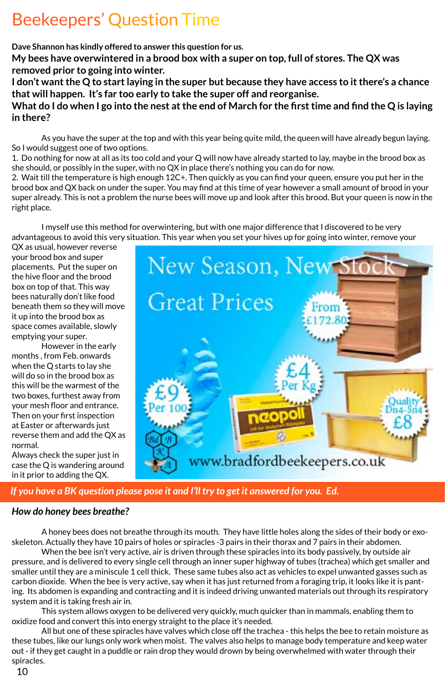# Beekeepers' Question Time

**Dave Shannon has kindly offered to answer this question for us.**

**My bees have overwintered in a brood box with a super on top, full of stores. The QX was removed prior to going into winter.**

**I don't want the Q to start laying in the super but because they have access to it there's a chance that will happen. It's far too early to take the super off and reorganise.**

**What do I do when I go into the nest at the end of March for the first time and find the Q is laying in there?**

As you have the super at the top and with this year being quite mild, the queen will have already begun laying. So I would suggest one of two options.

1. Do nothing for now at all as its too cold and your Q will now have already started to lay, maybe in the brood box as she should, or possibly in the super, with no QX in place there's nothing you can do for now.

2. Wait till the temperature is high enough 12C+. Then quickly as you can find your queen, ensure you put her in the brood box and QX back on under the super. You may find at this time of year however a small amount of brood in your super already. This is not a problem the nurse bees will move up and look after this brood. But your queen is now in the right place.

I myself use this method for overwintering, but with one major difference that I discovered to be very advantageous to avoid this very situation. This year when you set your hives up for going into winter, remove your

QX as usual, however reverse your brood box and super placements. Put the super on the hive floor and the brood box on top of that. This way bees naturally don't like food beneath them so they will move it up into the brood box as space comes available, slowly emptying your super.

However in the early months , from Feb. onwards when the Q starts to lay she will do so in the brood box as this will be the warmest of the two boxes, furthest away from your mesh floor and entrance. Then on your first inspection at Easter or afterwards just reverse them and add the QX as normal.

Always check the super just in case the Q is wandering around in it prior to adding the QX.



### *If you have a BK question please pose it and I'll try to get it answered for you. Ed.*

### *How do honey bees breathe?*

A honey bees does not breathe through its mouth. They have little holes along the sides of their body or exoskeleton. Actually they have 10 pairs of holes or spiracles -3 pairs in their thorax and 7 pairs in their abdomen.

When the bee isn't very active, air is driven through these spiracles into its body passively, by outside air pressure, and is delivered to every single cell through an inner super highway of tubes (trachea) which get smaller and smaller until they are a miniscule 1 cell thick. These same tubes also act as vehicles to expel unwanted gasses such as carbon dioxide. When the bee is very active, say when it has just returned from a foraging trip, it looks like it is panting. Its abdomen is expanding and contracting and it is indeed driving unwanted materials out through its respiratory system and it is taking fresh air in.

This system allows oxygen to be delivered very quickly, much quicker than in mammals, enabling them to oxidize food and convert this into energy straight to the place it's needed.

All but one of these spiracles have valves which close off the trachea - this helps the bee to retain moisture as these tubes, like our lungs only work when moist. The valves also helps to manage body temperature and keep water out - if they get caught in a puddle or rain drop they would drown by being overwhelmed with water through their spiracles.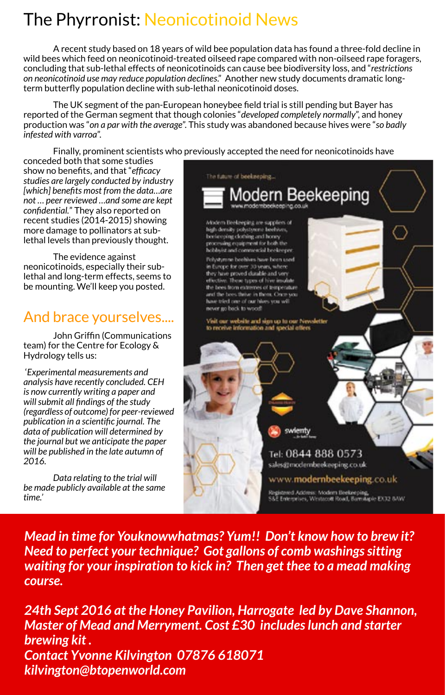# The Phyrronist: Neonicotinoid News

A recent study based on 18 years of wild bee population data has found a three-fold decline in wild bees which feed on neonicotinoid-treated oilseed rape compared with non-oilseed rape foragers, concluding that sub-lethal effects of neonicotinoids can cause bee biodiversity loss, and "*restrictions on neonicotinoid use may reduce population declines*." Another new study documents dramatic longterm butterfly population decline with sub-lethal neonicotinoid doses.

The UK segment of the pan-European honeybee field trial is still pending but Bayer has reported of the German segment that though colonies "*developed completely normally*", and honey production was "*on a par with the average*". This study was abandoned because hives were "*so badly infested with varroa*".

Finally, prominent scientists who previously accepted the need for neonicotinoids have

conceded both that some studies show no benefits, and that "*efficacy studies are largely conducted by industry [which] benefi ts most from the data…are not … peer reviewed …and some are kept confi dential.*" They also reported on recent studies (2014-2015) showing more damage to pollinators at sublethal levels than previously thought.

The evidence against neonicotinoids, especially their sublethal and long-term effects, seems to be mounting. We'll keep you posted.

### And brace yourselves....

John Griffin (Communications team) for the Centre for Ecology & Hydrology tells us:

 '*Experimental measurements and analysis have recently concluded. CEH is now currently writing a paper and will submit all fi ndings of the study (regardless of outcome) for peer-reviewed publication in a scientific journal. The data of publication will determined by the journal but we anticipate the paper will be published in the late autumn of 2016.*

*Data relating to the trial will be made publicly available at the same time.'*



*Mead in time for Youknowwhatmas? Yum!! Don't know how to brew it? Need to perfect your technique? Got gallons of comb washings sitting waiting for your inspiration to kick in? Then get thee to a mead making course.*

11 *kilvington@btopenworld.com24th Sept 2016 at the Honey Pavilion, Harrogate led by Dave Shannon, Master of Mead and Merryment. Cost £30 includes lunch and starter brewing kit . Contact Yvonne Kilvington 07876 618071*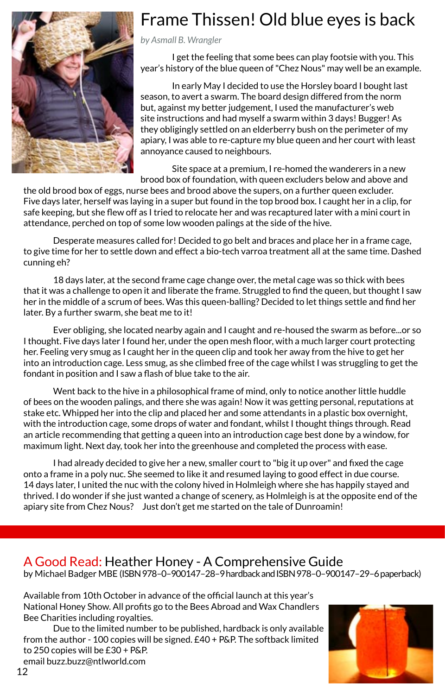

## Frame Thissen! Old blue eyes is back

*by Asmall B. Wrangler*

I get the feeling that some bees can play footsie with you. This year's history of the blue queen of "Chez Nous" may well be an example.

In early May I decided to use the Horsley board I bought last season, to avert a swarm. The board design differed from the norm but, against my better judgement, I used the manufacturer's web site instructions and had myself a swarm within 3 days! Bugger! As they obligingly settled on an elderberry bush on the perimeter of my apiary, I was able to re-capture my blue queen and her court with least annoyance caused to neighbours.

Site space at a premium, I re-homed the wanderers in a new brood box of foundation, with queen excluders below and above and

the old brood box of eggs, nurse bees and brood above the supers, on a further queen excluder. Five days later, herself was laying in a super but found in the top brood box. I caught her in a clip, for safe keeping, but she flew off as I tried to relocate her and was recaptured later with a mini court in attendance, perched on top of some low wooden palings at the side of the hive.

Desperate measures called for! Decided to go belt and braces and place her in a frame cage, to give time for her to settle down and effect a bio-tech varroa treatment all at the same time. Dashed cunning eh?

18 days later, at the second frame cage change over, the metal cage was so thick with bees that it was a challenge to open it and liberate the frame. Struggled to find the queen, but thought I saw her in the middle of a scrum of bees. Was this queen-balling? Decided to let things settle and find her later. By a further swarm, she beat me to it!

Ever obliging, she located nearby again and I caught and re-housed the swarm as before...or so I thought. Five days later I found her, under the open mesh floor, with a much larger court protecting her. Feeling very smug as I caught her in the queen clip and took her away from the hive to get her into an introduction cage. Less smug, as she climbed free of the cage whilst I was struggling to get the fondant in position and I saw a flash of blue take to the air.

Went back to the hive in a philosophical frame of mind, only to notice another little huddle of bees on the wooden palings, and there she was again! Now it was getting personal, reputations at stake etc. Whipped her into the clip and placed her and some attendants in a plastic box overnight, with the introduction cage, some drops of water and fondant, whilst I thought things through. Read an article recommending that getting a queen into an introduction cage best done by a window, for maximum light. Next day, took her into the greenhouse and completed the process with ease.

I had already decided to give her a new, smaller court to "big it up over" and fixed the cage onto a frame in a poly nuc. She seemed to like it and resumed laying to good effect in due course. 14 days later, I united the nuc with the colony hived in Holmleigh where she has happily stayed and thrived. I do wonder if she just wanted a change of scenery, as Holmleigh is at the opposite end of the apiary site from Chez Nous? Just don't get me started on the tale of Dunroamin!

### A Good Read: Heather Honey - A Comprehensive Guide

by Michael Badger MBE (ISBN 978–0–900147–28–9 hardback and ISBN 978–0–900147–29–6 paperback)

Available from 10th October in advance of the official launch at this year's National Honey Show. All profits go to the Bees Abroad and Wax Chandlers Bee Charities including royalties.

Due to the limited number to be published, hardback is only available from the author - 100 copies will be signed. £40 + P&P. The softback limited to 250 copies will be £30 + P&P. email buzz.buzz@ntlworld.com

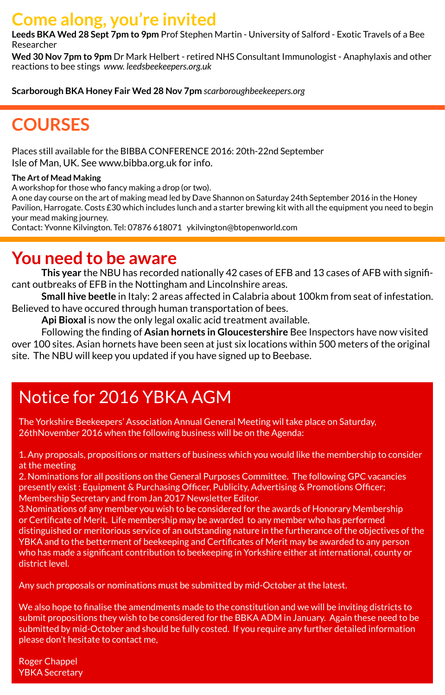### **Come along, you're invited**

**Leeds BKA Wed 28 Sept 7pm to 9pm** Prof Stephen Martin - University of Salford - Exotic Travels of a Bee Researcher

**Wed 30 Nov 7pm to 9pm** Dr Mark Helbert - retired NHS Consultant Immunologist - Anaphylaxis and other reactions to bee stings *www. leedsbeekeepers.org.uk*

**Scarborough BKA Honey Fair Wed 28 Nov 7pm** *scarboroughbeekeepers.org*

# **COURSES**

Places still available for the BIBBA CONFERENCE 2016: 20th-22nd September Isle of Man, UK. See www.bibba.org.uk for info.

### **The Art of Mead Making**

A workshop for those who fancy making a drop (or two).

A one day course on the art of making mead led by Dave Shannon on Saturday 24th September 2016 in the Honey Pavilion, Harrogate. Costs £30 which includes lunch and a starter brewing kit with all the equipment you need to begin your mead making journey.

Contact: Yvonne Kilvington. Tel: 07876 618071 ykilvington@btopenworld.com

### **You need to be aware**

**This year** the NBU has recorded nationally 42 cases of EFB and 13 cases of AFB with significant outbreaks of EFB in the Nottingham and Lincolnshire areas.

**Small hive beetle** in Italy: 2 areas affected in Calabria about 100km from seat of infestation. Believed to have occured through human transportation of bees.

**Api Bioxal** is now the only legal oxalic acid treatment available.

Following the finding of **Asian hornets in Gloucestershire** Bee Inspectors have now visited over 100 sites. Asian hornets have been seen at just six locations within 500 meters of the original site. The NBU will keep you updated if you have signed up to Beebase.

# Notice for 2016 YBKA AGM

The Yorkshire Beekeepers' Association Annual General Meeting wil take place on Saturday, 26thNovember 2016 when the following business will be on the Agenda:

1. Any proposals, propositions or matters of business which you would like the membership to consider at the meeting

2. Nominations for all positions on the General Purposes Committee. The following GPC vacancies presently exist : Equipment & Purchasing Officer, Publicity, Advertising & Promotions Officer; Membership Secretary and from Jan 2017 Newsletter Editor.

3.Nominations of any member you wish to be considered for the awards of Honorary Membership or Certificate of Merit. Life membership may be awarded to any member who has performed distinguished or meritorious service of an outstanding nature in the furtherance of the objectives of the YBKA and to the betterment of beekeeping and Certificates of Merit may be awarded to any person who has made a significant contribution to beekeeping in Yorkshire either at international, county or district level.

Any such proposals or nominations must be submitted by mid-October at the latest.

We also hope to finalise the amendments made to the constitution and we will be inviting districts to submit propositions they wish to be considered for the BBKA ADM in January. Again these need to be submitted by mid-October and should be fully costed. If you require any further detailed information please don't hesitate to contact me,

YBKA Secretary Roger Chappel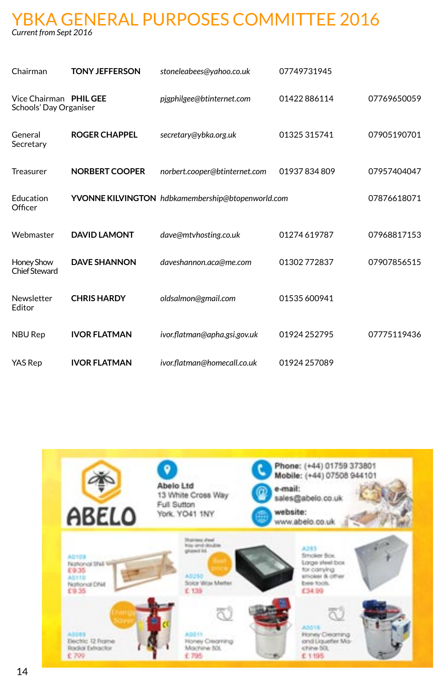### YBKA GENERAL PURPOSES COMMITTEE 2016 *Current from Sept 2016*

| Chairman                                         | <b>TONY JEFFERSON</b> | stoneleabees@yahoo.co.uk                          | 07749731945  |             |
|--------------------------------------------------|-----------------------|---------------------------------------------------|--------------|-------------|
| Vice Chairman PHIL GEE<br>Schools' Day Organiser |                       | pjgphilgee@btinternet.com                         | 01422886114  | 07769650059 |
| General<br>Secretary                             | <b>ROGER CHAPPEL</b>  | secretary@ybka.org.uk                             | 01325 315741 | 07905190701 |
| <b>Treasurer</b>                                 | <b>NORBERT COOPER</b> | norbert.cooper@btinternet.com                     | 01937834809  | 07957404047 |
| Education<br>Officer                             |                       | YVONNE KILVINGTON hdbkamembership@btopenworld.com |              | 07876618071 |
| Webmaster                                        | <b>DAVID LAMONT</b>   | dave@mtvhosting.co.uk                             | 01274619787  | 07968817153 |
| Honey Show<br><b>Chief Steward</b>               | <b>DAVE SHANNON</b>   | daveshannon.aca@me.com                            | 01302 772837 | 07907856515 |
| Newsletter<br>Editor                             | <b>CHRISHARDY</b>     | oldsalmon@gmail.com                               | 01535 600941 |             |
| <b>NBU Rep</b>                                   | <b>IVOR FLATMAN</b>   | ivor.flatman@apha.gsi.gov.uk                      | 01924 252795 | 07775119436 |
| YAS Rep                                          | <b>IVOR FLATMAN</b>   | ivor.flatman@homecall.co.uk                       | 01924 257089 |             |